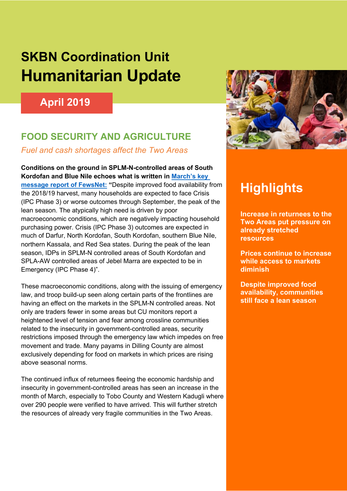# **SKBN Coordination Unit Humanitarian Update**

## **April 2019**

## **FOOD SECURITY AND AGRICULTURE**

*Fuel and cash shortages affect the Two Areas*

**Conditions on the ground in SPLM-N-controlled areas of South Kordofan and Blue Nile echoes what is written in March's key message report of FewsNet: "**Despite improved food availability from the 2018/19 harvest, many households are expected to face Crisis (IPC Phase 3) or worse outcomes through September, the peak of the lean season. The atypically high need is driven by poor macroeconomic conditions, which are negatively impacting household purchasing power. Crisis (IPC Phase 3) outcomes are expected in much of Darfur, North Kordofan, South Kordofan, southern Blue Nile, northern Kassala, and Red Sea states. During the peak of the lean season, IDPs in SPLM-N controlled areas of South Kordofan and SPLA-AW controlled areas of Jebel Marra are expected to be in Emergency (IPC Phase 4)".

These macroeconomic conditions, along with the issuing of emergency law, and troop build-up seen along certain parts of the frontlines are having an effect on the markets in the SPLM-N controlled areas. Not only are traders fewer in some areas but CU monitors report a heightened level of tension and fear among crossline communities related to the insecurity in government-controlled areas, security restrictions imposed through the emergency law which impedes on free movement and trade. Many payams in Dilling County are almost exclusively depending for food on markets in which prices are rising above seasonal norms.

The continued influx of returnees fleeing the economic hardship and insecurity in government-controlled areas has seen an increase in the month of March, especially to Tobo County and Western Kadugli where over 290 people were verified to have arrived. This will further stretch the resources of already very fragile communities in the Two Areas.



# **Highlights**

**Increase in returnees to the Two Areas put pressure on already stretched resources**

**Prices continue to increase while access to markets diminish** 

**Despite improved food availability, communities still face a lean season**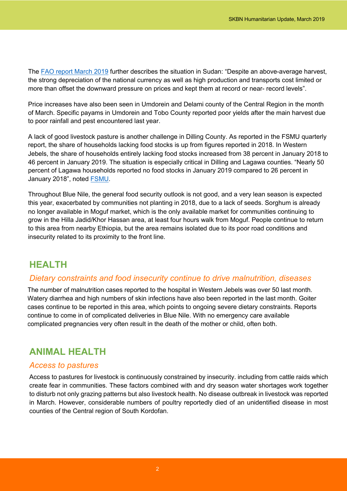The FAO report March 2019 further describes the situation in Sudan: "Despite an above-average harvest, the strong depreciation of the national currency as well as high production and transports cost limited or more than offset the downward pressure on prices and kept them at record or near- record levels".

Price increases have also been seen in Umdorein and Delami county of the Central Region in the month of March. Specific payams in Umdorein and Tobo County reported poor yields after the main harvest due to poor rainfall and pest encountered last year.

A lack of good livestock pasture is another challenge in Dilling County. As reported in the FSMU quarterly report, the share of households lacking food stocks is up from figures reported in 2018. In Western Jebels, the share of households entirely lacking food stocks increased from 38 percent in January 2018 to 46 percent in January 2019. The situation is especially critical in Dilling and Lagawa counties. "Nearly 50 percent of Lagawa households reported no food stocks in January 2019 compared to 26 percent in January 2018", noted FSMU.

Throughout Blue Nile, the general food security outlook is not good, and a very lean season is expected this year, exacerbated by communities not planting in 2018, due to a lack of seeds. Sorghum is already no longer available in Moguf market, which is the only available market for communities continuing to grow in the Hilla Jadid/Khor Hassan area, at least four hours walk from Moguf. People continue to return to this area from nearby Ethiopia, but the area remains isolated due to its poor road conditions and insecurity related to its proximity to the front line.

## **HEALTH**

### *Dietary constraints and food insecurity continue to drive malnutrition, diseases*

The number of malnutrition cases reported to the hospital in Western Jebels was over 50 last month. Watery diarrhea and high numbers of skin infections have also been reported in the last month. Goiter cases continue to be reported in this area, which points to ongoing severe dietary constraints. Reports continue to come in of complicated deliveries in Blue Nile. With no emergency care available complicated pregnancies very often result in the death of the mother or child, often both.

## **ANIMAL HEALTH**

### *Access to pastures*

Access to pastures for livestock is continuously constrained by insecurity. including from cattle raids which create fear in communities. These factors combined with and dry season water shortages work together to disturb not only grazing patterns but also livestock health. No disease outbreak in livestock was reported in March. However, considerable numbers of poultry reportedly died of an unidentified disease in most counties of the Central region of South Kordofan.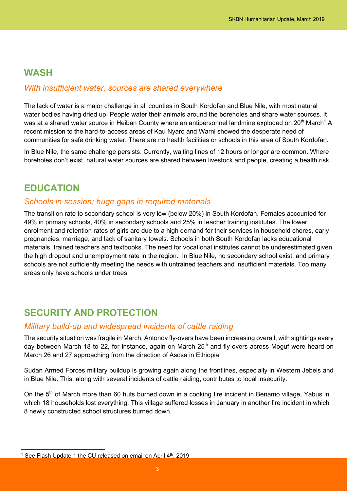### **WASH**

### *With insufficient water, sources are shared everywhere*

The lack of water is a major challenge in all counties in South Kordofan and Blue Nile, with most natural water bodies having dried up. People water their animals around the boreholes and share water sources. It was at a shared water source in Heiban County where an antipersonnel landmine exploded on 20<sup>th</sup> March<sup>1</sup>.A recent mission to the hard-to-access areas of Kau Nyaro and Warni showed the desperate need of communities for safe drinking water. There are no health facilities or schools in this area of South Kordofan.

In Blue Nile, the same challenge persists. Currently, waiting lines of 12 hours or longer are common. Where boreholes don't exist, natural water sources are shared between livestock and people, creating a health risk.

## **EDUCATION**

#### *Schools in session; huge gaps in required materials*

The transition rate to secondary school is very low (below 20%) in South Kordofan. Females accounted for 49% in primary schools, 40% in secondary schools and 25% in teacher training institutes. The lower enrolment and retention rates of girls are due to a high demand for their services in household chores, early pregnancies, marriage, and lack of sanitary towels. Schools in both South Kordofan lacks educational materials, trained teachers and textbooks. The need for vocational institutes cannot be underestimated given the high dropout and unemployment rate in the region. In Blue Nile, no secondary school exist, and primary schools are not sufficiently meeting the needs with untrained teachers and insufficient materials. Too many areas only have schools under trees.

## **SECURITY AND PROTECTION**

#### *Military build-up and widespread incidents of cattle raiding*

The security situation was fragile in March. Antonov fly-overs have been increasing overall, with sightings every day between March 18 to 22, for instance, again on March 25<sup>th</sup> and fly-overs across Moguf were heard on March 26 and 27 approaching from the direction of Asosa in Ethiopia.

Sudan Armed Forces military buildup is growing again along the frontlines, especially in Western Jebels and in Blue Nile. This, along with several incidents of cattle raiding, contributes to local insecurity.

On the 5<sup>th</sup> of March more than 60 huts burned down in a cooking fire incident in Benamo village, Yabus in which 18 households lost everything. This village suffered losses in January in another fire incident in which 8 newly constructed school structures burned down.

<sup>&</sup>lt;sup>1</sup> See Flash Update 1 the CU released on email on April 4<sup>th</sup>, 2019